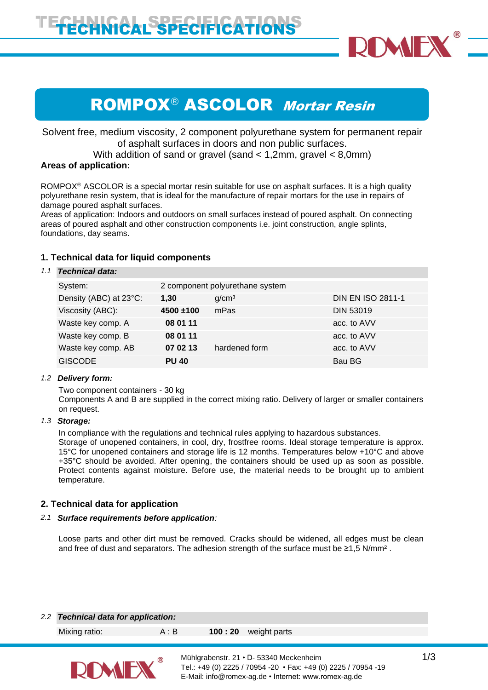

# ROMPOX<sup>®</sup> ASCOLOR Mortar Resin

Solvent free, medium viscosity, 2 component polyurethane system for permanent repair of asphalt surfaces in doors and non public surfaces.

With addition of sand or gravel (sand < 1,2mm, gravel < 8,0mm)

# **Areas of application:**

ROMPOX $\textdegree$  ASCOLOR is a special mortar resin suitable for use on asphalt surfaces. It is a high quality polyurethane resin system, that is ideal for the manufacture of repair mortars for the use in repairs of damage poured asphalt surfaces.

Areas of application: Indoors and outdoors on small surfaces instead of poured asphalt. On connecting areas of poured asphalt and other construction components i.e. joint construction, angle splints, foundations, day seams.

# **1. Technical data for liquid components**

## *1.1 Technical data:*

| System:                | 2 component polyurethane system |                   |                          |
|------------------------|---------------------------------|-------------------|--------------------------|
| Density (ABC) at 23°C: | 1,30                            | q/cm <sup>3</sup> | <b>DIN EN ISO 2811-1</b> |
| Viscosity (ABC):       | $4500 + 100$                    | mPas              | <b>DIN 53019</b>         |
| Waste key comp. A      | 08 01 11                        |                   | acc. to AVV              |
| Waste key comp. B      | 08 01 11                        |                   | acc. to AVV              |
| Waste key comp. AB     | 07 02 13                        | hardened form     | acc. to AVV              |
| <b>GISCODE</b>         | <b>PU 40</b>                    |                   | Bau BG                   |

## *1.2 Delivery form:*

Two component containers - 30 kg

Components A and B are supplied in the correct mixing ratio. Delivery of larger or smaller containers on request.

#### *1.3 Storage:*

In compliance with the regulations and technical rules applying to hazardous substances. Storage of unopened containers, in cool, dry, frostfree rooms. Ideal storage temperature is approx. 15°C for unopened containers and storage life is 12 months. Temperatures below +10°C and above +35°C should be avoided. After opening, the containers should be used up as soon as possible. Protect contents against moisture. Before use, the material needs to be brought up to ambient temperature.

## **2. Technical data for application**

## *2.1 Surface requirements before application:*

Loose parts and other dirt must be removed. Cracks should be widened, all edges must be clean and free of dust and separators. The adhesion strength of the surface must be  $\geq 1.5$  N/mm<sup>2</sup>.

#### *2.2 Technical data for application:*

Mixing ratio: A : B **100 : 20** weight parts

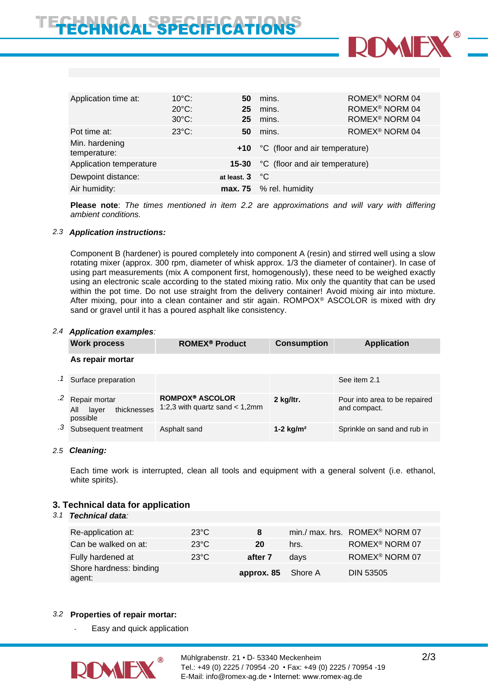

| Application time at:           | $10^{\circ}$ C: | 50                      | mins.                              | ROMEX <sup>®</sup> NORM 04 |
|--------------------------------|-----------------|-------------------------|------------------------------------|----------------------------|
|                                | $20^{\circ}$ C: | 25                      | mins.                              | ROMEX <sup>®</sup> NORM 04 |
|                                | $30^{\circ}$ C: | 25                      | mins.                              | ROMEX <sup>®</sup> NORM 04 |
| Pot time at:                   | $23^{\circ}$ C: | 50                      | mins.                              | ROMEX <sup>®</sup> NORM 04 |
| Min. hardening<br>temperature: |                 |                         | +10 °C (floor and air temperature) |                            |
| Application temperature        |                 | $15 - 30$               | °C (floor and air temperature)     |                            |
| Dewpoint distance:             |                 | at least, $3^{\circ}$ C |                                    |                            |
| Air humidity:                  |                 |                         | $max. 75$ % rel. humidity          |                            |

**Please note**: *The times mentioned in item 2.2 are approximations and will vary with differing ambient conditions.*

#### *2.3 Application instructions:*

Component B (hardener) is poured completely into component A (resin) and stirred well using a slow rotating mixer (approx. 300 rpm, diameter of whisk approx. 1/3 the diameter of container). In case of using part measurements (mix A component first, homogenously), these need to be weighed exactly using an electronic scale according to the stated mixing ratio. Mix only the quantity that can be used within the pot time. Do not use straight from the delivery container! Avoid mixing air into mixture. After mixing, pour into a clean container and stir again. ROMPOX<sup>®</sup> ASCOLOR is mixed with dry sand or gravel until it has a poured asphalt like consistency.

#### *2.4 Application examples:*

| <b>Work process</b>                                      | <b>ROMEX<sup>®</sup> Product</b>                           | <b>Consumption</b> | <b>Application</b>                            |
|----------------------------------------------------------|------------------------------------------------------------|--------------------|-----------------------------------------------|
| As repair mortar                                         |                                                            |                    |                                               |
| Surface preparation                                      |                                                            |                    | See item 2.1                                  |
| Repair mortar<br>thicknesses<br>All<br>layer<br>possible | <b>ROMPOX® ASCOLOR</b><br>1:2,3 with quartz sand $<$ 1,2mm | 2 kg/ltr.          | Pour into area to be repaired<br>and compact. |
| Subsequent treatment                                     | Asphalt sand                                               | 1-2 $kg/m2$        | Sprinkle on sand and rub in                   |

## *2.5 Cleaning:*

Each time work is interrupted, clean all tools and equipment with a general solvent (i.e. ethanol, white spirits).

## **3. Technical data for application**

# *3.1 Technical data:*

| Re-application at:                | $23^{\circ}$ C | 8                  |      | min./ max. hrs. ROMEX <sup>®</sup> NORM 07 |
|-----------------------------------|----------------|--------------------|------|--------------------------------------------|
| Can be walked on at:              | $23^{\circ}$ C | 20                 | hrs. | ROMEX <sup>®</sup> NORM 07                 |
| Fully hardened at                 | $23^{\circ}$ C | after 7            | davs | ROMEX <sup>®</sup> NORM 07                 |
| Shore hardness: binding<br>agent: |                | approx. 85 Shore A |      | DIN 53505                                  |

## *3.2* **Properties of repair mortar:**

Easy and quick application